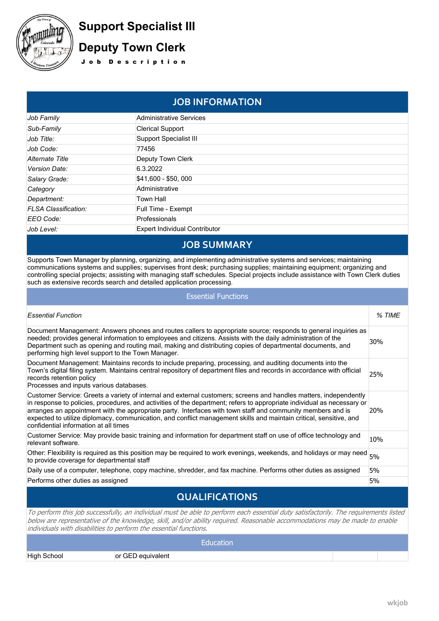

# **Support Specialist III Deputy Town Clerk**

J o b D e s c r i p t i o n

## **JOB INFORMATION**

| Job Family                  | <b>Administrative Services</b>       |  |
|-----------------------------|--------------------------------------|--|
| Sub-Family                  | <b>Clerical Support</b>              |  |
| Job Title:                  | <b>Support Specialist III</b>        |  |
| Job Code:                   | 77456                                |  |
| Alternate Title             | Deputy Town Clerk                    |  |
| Version Date:               | 6.3.2022                             |  |
| Salary Grade:               | \$41,600 - \$50,000                  |  |
| Category                    | Administrative                       |  |
| Department:                 | Town Hall                            |  |
| <b>FLSA Classification:</b> | Full Time - Exempt                   |  |
| EEO Code:                   | Professionals                        |  |
| Job Level:                  | <b>Expert Individual Contributor</b> |  |

## **JOB SUMMARY**

Supports Town Manager by planning, organizing, and implementing administrative systems and services; maintaining communications systems and supplies; supervises front desk; purchasing supplies; maintaining equipment; organizing and controlling special projects; assisting with managing staff schedules. Special projects include assistance with Town Clerk duties such as extensive records search and detailed application processing.

| <b>Essential Functions</b>                                                                                                                                                                                                                                                                                                                                                                                                                                                                                                 |        |  |  |
|----------------------------------------------------------------------------------------------------------------------------------------------------------------------------------------------------------------------------------------------------------------------------------------------------------------------------------------------------------------------------------------------------------------------------------------------------------------------------------------------------------------------------|--------|--|--|
| <b>Essential Function</b>                                                                                                                                                                                                                                                                                                                                                                                                                                                                                                  | % TIME |  |  |
| Document Management: Answers phones and routes callers to appropriate source; responds to general inquiries as<br>needed; provides general information to employees and citizens. Assists with the daily administration of the<br>Department such as opening and routing mail, making and distributing copies of departmental documents, and<br>performing high level support to the Town Manager.                                                                                                                         | 30%    |  |  |
| Document Management: Maintains records to include preparing, processing, and auditing documents into the<br>Town's digital filing system. Maintains central repository of department files and records in accordance with official<br>records retention policy<br>Processes and inputs various databases.                                                                                                                                                                                                                  | 25%    |  |  |
| Customer Service: Greets a variety of internal and external customers; screens and handles matters, independently<br>in response to policies, procedures, and activities of the department; refers to appropriate individual as necessary or<br>arranges an appointment with the appropriate party. Interfaces with town staff and community members and is<br>expected to utilize diplomacy, communication, and conflict management skills and maintain critical, sensitive, and<br>confidential information at all times | 20%    |  |  |
| Customer Service: May provide basic training and information for department staff on use of office technology and<br>relevant software.                                                                                                                                                                                                                                                                                                                                                                                    | 10%    |  |  |
| Other: Flexibility is required as this position may be required to work evenings, weekends, and holidays or may need<br>to provide coverage for departmental staff                                                                                                                                                                                                                                                                                                                                                         | 5%     |  |  |
| Daily use of a computer, telephone, copy machine, shredder, and fax machine. Performs other duties as assigned                                                                                                                                                                                                                                                                                                                                                                                                             | 5%     |  |  |
| Performs other duties as assigned                                                                                                                                                                                                                                                                                                                                                                                                                                                                                          | 5%     |  |  |
|                                                                                                                                                                                                                                                                                                                                                                                                                                                                                                                            |        |  |  |

## **QUALIFICATIONS**

*To perform this job successfully, an individual must be able to perform each essential duty satisfactorily. The requirements listed below are representative of the knowledge, skill, and/or ability required. Reasonable accommodations may be made to enable individuals with disabilities to perform the essential functions.*

**Education** High School **by Community** or GED equivalent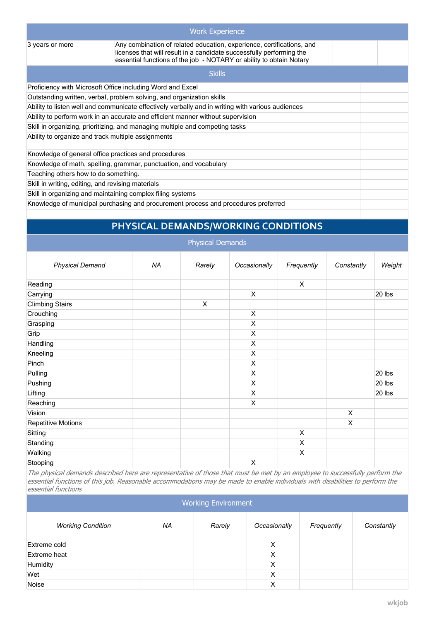|                                                                                                   | <b>Work Experience</b>                                                                                                                                                                                               |  |  |  |
|---------------------------------------------------------------------------------------------------|----------------------------------------------------------------------------------------------------------------------------------------------------------------------------------------------------------------------|--|--|--|
| 3 years or more                                                                                   | Any combination of related education, experience, certifications, and<br>licenses that will result in a candidate successfully performing the<br>essential functions of the job - NOTARY or ability to obtain Notary |  |  |  |
|                                                                                                   | <b>Skills</b>                                                                                                                                                                                                        |  |  |  |
|                                                                                                   | Proficiency with Microsoft Office including Word and Excel                                                                                                                                                           |  |  |  |
| Outstanding written, verbal, problem solving, and organization skills                             |                                                                                                                                                                                                                      |  |  |  |
| Ability to listen well and communicate effectively verbally and in writing with various audiences |                                                                                                                                                                                                                      |  |  |  |
| Ability to perform work in an accurate and efficient manner without supervision                   |                                                                                                                                                                                                                      |  |  |  |
| Skill in organizing, prioritizing, and managing multiple and competing tasks                      |                                                                                                                                                                                                                      |  |  |  |
| Ability to organize and track multiple assignments                                                |                                                                                                                                                                                                                      |  |  |  |
| Knowledge of general office practices and procedures                                              |                                                                                                                                                                                                                      |  |  |  |
| Knowledge of math, spelling, grammar, punctuation, and vocabulary                                 |                                                                                                                                                                                                                      |  |  |  |
| Teaching others how to do something.                                                              |                                                                                                                                                                                                                      |  |  |  |
| Skill in writing, editing, and revising materials                                                 |                                                                                                                                                                                                                      |  |  |  |
|                                                                                                   | Skill in organizing and maintaining complex filing systems                                                                                                                                                           |  |  |  |
| Knowledge of municipal purchasing and procurement process and procedures preferred                |                                                                                                                                                                                                                      |  |  |  |
|                                                                                                   |                                                                                                                                                                                                                      |  |  |  |

## **PHYSICAL DEMANDS/WORKING CONDITIONS**

|                           |    | <b>Physical Demands</b> |                           |                |            |        |
|---------------------------|----|-------------------------|---------------------------|----------------|------------|--------|
| <b>Physical Demand</b>    | ΝA | Rarely                  | Occasionally              | Frequently     | Constantly | Weight |
| Reading                   |    |                         |                           | X              |            |        |
| Carrying                  |    |                         | X                         |                |            | 20 lbs |
| <b>Climbing Stairs</b>    |    | $\pmb{\times}$          |                           |                |            |        |
| Crouching                 |    |                         | $\pmb{\times}$            |                |            |        |
| Grasping                  |    |                         | X                         |                |            |        |
| Grip                      |    |                         | X                         |                |            |        |
| Handling                  |    |                         | X                         |                |            |        |
| Kneeling                  |    |                         | X                         |                |            |        |
| Pinch                     |    |                         | X                         |                |            |        |
| Pulling                   |    |                         | X                         |                |            | 20 lbs |
| Pushing                   |    |                         | $\boldsymbol{\mathsf{X}}$ |                |            | 20 lbs |
| Lifting                   |    |                         | X                         |                |            | 20 lbs |
| Reaching                  |    |                         | X                         |                |            |        |
| Vision                    |    |                         |                           |                | X          |        |
| <b>Repetitive Motions</b> |    |                         |                           |                | X          |        |
| Sitting                   |    |                         |                           | $\pmb{\times}$ |            |        |
| Standing                  |    |                         |                           | $\pmb{\times}$ |            |        |
| Walking                   |    |                         |                           | X              |            |        |
| Stooping                  |    |                         | $\pmb{\times}$            |                |            |        |

*The physical demands described here are representative of those that must be met by an employee to successfully perform the essential functions of this job. Reasonable accommodations may be made to enable individuals with disabilities to perform the essential functions*

| <b>Working Environment</b> |    |        |              |            |            |
|----------------------------|----|--------|--------------|------------|------------|
| <b>Working Condition</b>   | NA | Rarely | Occasionally | Frequently | Constantly |
| Extreme cold               |    |        | X            |            |            |
| Extreme heat               |    |        | X            |            |            |
| Humidity                   |    |        | X            |            |            |
| Wet                        |    |        | X            |            |            |
| Noise                      |    |        | Χ            |            |            |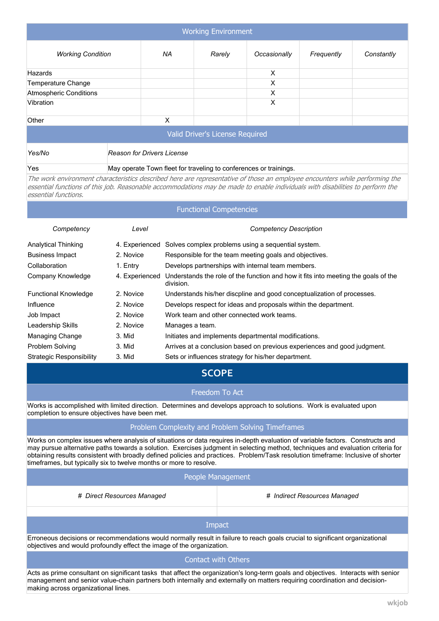| <b>Working Environment</b>      |                                                                   |        |              |            |            |
|---------------------------------|-------------------------------------------------------------------|--------|--------------|------------|------------|
|                                 |                                                                   |        |              |            |            |
| <b>Working Condition</b>        | ΝA                                                                | Rarely | Occasionally | Frequently | Constantly |
| Hazards                         |                                                                   |        | X            |            |            |
| <b>Temperature Change</b>       |                                                                   |        | X            |            |            |
| <b>Atmospheric Conditions</b>   | X                                                                 |        |              |            |            |
| Vibration                       |                                                                   |        | X            |            |            |
| Other                           | X                                                                 |        |              |            |            |
| Valid Driver's License Required |                                                                   |        |              |            |            |
| Yes/No                          | <b>Reason for Drivers License</b>                                 |        |              |            |            |
| Yes                             | May operate Town fleet for traveling to conferences or trainings. |        |              |            |            |

*The work environment characteristics described here are representative of those an employee encounters while performing the essential functions of this job. Reasonable accommodations may be made to enable individuals with disabilities to perform the essential functions.*

## Functional Competencies *Competency Level Competency Description* Analytical Thinking 4. Experienced Solves complex problems using a sequential system. Business Impact 2. Novice Responsible for the team meeting goals and objectives. Collaboration 1. Entry Develops partnerships with internal team members. Company Knowledge 4. Experienced Understands the role of the function and how it fits into meeting the goals of the division. Functional Knowledge 2. Novice Understands his/her discpline and good conceptualization of processes. Influence 2. Novice Develops respect for ideas and proposals within the department. Job Impact 2. Novice Work team and other connected work teams. Leadership Skills 2. Novice Manages a team. Managing Change 3. Mid Initiates and implements departmental modifications. Problem Solving 3. Mid Arrives at a conclusion based on previous experiences and good judgment. Strategic Responsibility 3. Mid Sets or influences strategy for his/her department.

### **SCOPE**

#### Freedom To Act

Works is accomplished with limited direction. Determines and develops approach to solutions. Work is evaluated upon completion to ensure objectives have been met.

### Problem Complexity and Problem Solving Timeframes

Works on complex issues where analysis of situations or data requires in-depth evaluation of variable factors. Constructs and may pursue alternative paths towards a solution. Exercises judgment in selecting method, techniques and evaluation criteria for obtaining results consistent with broadly defined policies and practices. Problem/Task resolution timeframe: Inclusive of shorter timeframes, but typically six to twelve months or more to resolve.

#### People Management

*# Direct Resources Managed # Indirect Resources Managed*

#### Impact

Erroneous decisions or recommendations would normally result in failure to reach goals crucial to significant organizational objectives and would profoundly effect the image of the organization.

#### Contact with Others

Acts as prime consultant on significant tasks that affect the organization's long-term goals and objectives. Interacts with senior management and senior value-chain partners both internally and externally on matters requiring coordination and decisionmaking across organizational lines.